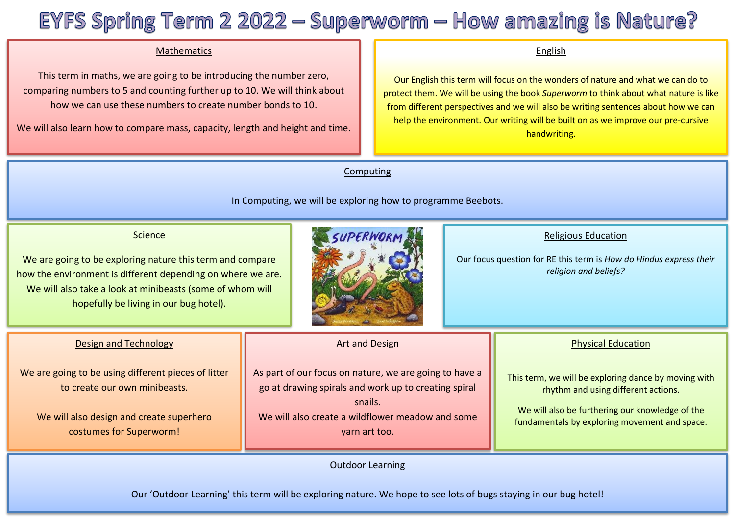# EYFS Spring Term  $22022 -$  Superworm  $-$  How amazing is Nature?

## Mathematics

 This term in maths, we are going to be introducing the number zero, Ï comparing numbers to 5 and counting further up to 10. We will think about how we can use these numbers to create number bonds to 10.

We will also learn how to compare mass, capacity, length and height and time.

#### English

Our English this term will focus on the wonders of nature and what we can do to protect them. We will be using the book *Superworm* to think about what nature is like from different perspectives and we will also be writing sentences about how we can help the environment. Our writing will be built on as we improve our pre-cursive handwriting.

Computing

In Computing, we will be exploring how to programme Beebots.

## **Science**

We are going to be exploring nature this term and compare how the environment is different depending on where we are. We will also take a look at minibeasts (some of whom will hopefully be living in our bug hotel).



## Religious Education

Our focus question for RE this term is *How do Hindus express their religion and beliefs?*

Physical Education

This term, we will be exploring dance by moving with rhythm and using different actions.

We will also be furthering our knowledge of the fundamentals by exploring movement and space.

| <b>Design and Technology</b> |
|------------------------------|
|------------------------------|

We are going to be using different pieces of litter to create our own minibeasts.

We will also design and create superhero costumes for Superworm!

#### Art and Design

As part of our focus on nature, we are going to have a go at drawing spirals and work up to creating spiral snails.

We will also create a wildflower meadow and some yarn art too.

## Outdoor Learning

Our 'Outdoor Learning' this term will be exploring nature. We hope to see lots of bugs staying in our bug hotel!